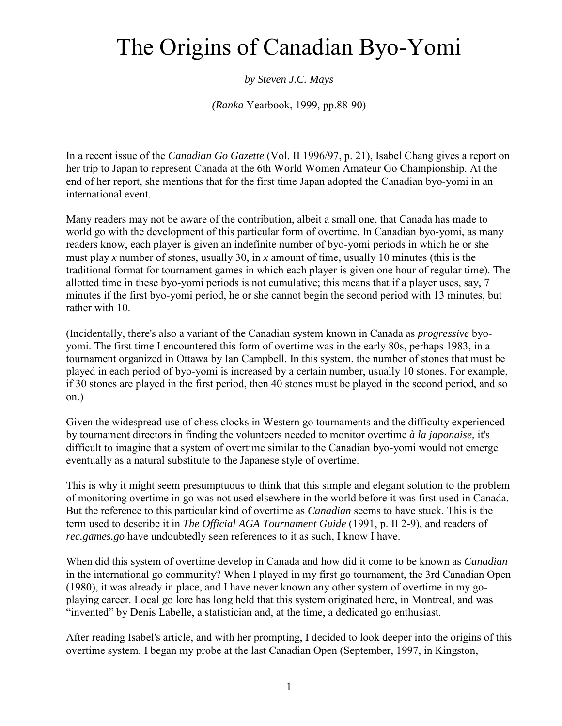## The Origins of Canadian Byo-Yomi

## *by Steven J.C. Mays*

*(Ranka* Yearbook, 1999, pp.88-90)

In a recent issue of the *Canadian Go Gazette* (Vol. II 1996/97, p. 21), Isabel Chang gives a report on her trip to Japan to represent Canada at the 6th World Women Amateur Go Championship. At the end of her report, she mentions that for the first time Japan adopted the Canadian byo-yomi in an international event.

Many readers may not be aware of the contribution, albeit a small one, that Canada has made to world go with the development of this particular form of overtime. In Canadian byo-yomi, as many readers know, each player is given an indefinite number of byo-yomi periods in which he or she must play *x* number of stones, usually 30, in *x* amount of time, usually 10 minutes (this is the traditional format for tournament games in which each player is given one hour of regular time). The allotted time in these byo-yomi periods is not cumulative; this means that if a player uses, say, 7 minutes if the first byo-yomi period, he or she cannot begin the second period with 13 minutes, but rather with 10.

(Incidentally, there's also a variant of the Canadian system known in Canada as *progressive* byoyomi. The first time I encountered this form of overtime was in the early 80s, perhaps 1983, in a tournament organized in Ottawa by Ian Campbell. In this system, the number of stones that must be played in each period of byo-yomi is increased by a certain number, usually 10 stones. For example, if 30 stones are played in the first period, then 40 stones must be played in the second period, and so on.)

Given the widespread use of chess clocks in Western go tournaments and the difficulty experienced by tournament directors in finding the volunteers needed to monitor overtime *à la japonaise*, it's difficult to imagine that a system of overtime similar to the Canadian byo-yomi would not emerge eventually as a natural substitute to the Japanese style of overtime.

This is why it might seem presumptuous to think that this simple and elegant solution to the problem of monitoring overtime in go was not used elsewhere in the world before it was first used in Canada. But the reference to this particular kind of overtime as *Canadian* seems to have stuck. This is the term used to describe it in *The Official AGA Tournament Guide* (1991, p. II 2-9), and readers of *rec.games.go* have undoubtedly seen references to it as such, I know I have.

When did this system of overtime develop in Canada and how did it come to be known as *Canadian* in the international go community? When I played in my first go tournament, the 3rd Canadian Open (1980), it was already in place, and I have never known any other system of overtime in my goplaying career. Local go lore has long held that this system originated here, in Montreal, and was "invented" by Denis Labelle, a statistician and, at the time, a dedicated go enthusiast.

After reading Isabel's article, and with her prompting, I decided to look deeper into the origins of this overtime system. I began my probe at the last Canadian Open (September, 1997, in Kingston,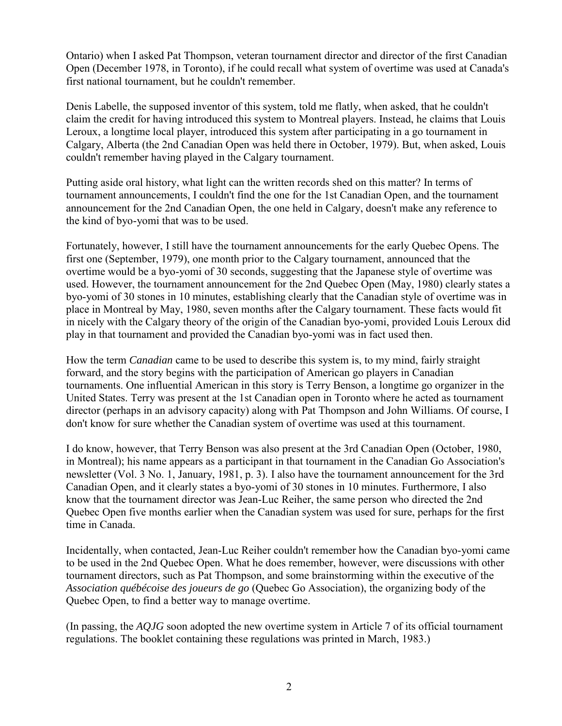Ontario) when I asked Pat Thompson, veteran tournament director and director of the first Canadian Open (December 1978, in Toronto), if he could recall what system of overtime was used at Canada's first national tournament, but he couldn't remember.

Denis Labelle, the supposed inventor of this system, told me flatly, when asked, that he couldn't claim the credit for having introduced this system to Montreal players. Instead, he claims that Louis Leroux, a longtime local player, introduced this system after participating in a go tournament in Calgary, Alberta (the 2nd Canadian Open was held there in October, 1979). But, when asked, Louis couldn't remember having played in the Calgary tournament.

Putting aside oral history, what light can the written records shed on this matter? In terms of tournament announcements, I couldn't find the one for the 1st Canadian Open, and the tournament announcement for the 2nd Canadian Open, the one held in Calgary, doesn't make any reference to the kind of byo-yomi that was to be used.

Fortunately, however, I still have the tournament announcements for the early Quebec Opens. The first one (September, 1979), one month prior to the Calgary tournament, announced that the overtime would be a byo-yomi of 30 seconds, suggesting that the Japanese style of overtime was used. However, the tournament announcement for the 2nd Quebec Open (May, 1980) clearly states a byo-yomi of 30 stones in 10 minutes, establishing clearly that the Canadian style of overtime was in place in Montreal by May, 1980, seven months after the Calgary tournament. These facts would fit in nicely with the Calgary theory of the origin of the Canadian byo-yomi, provided Louis Leroux did play in that tournament and provided the Canadian byo-yomi was in fact used then.

How the term *Canadian* came to be used to describe this system is, to my mind, fairly straight forward, and the story begins with the participation of American go players in Canadian tournaments. One influential American in this story is Terry Benson, a longtime go organizer in the United States. Terry was present at the 1st Canadian open in Toronto where he acted as tournament director (perhaps in an advisory capacity) along with Pat Thompson and John Williams. Of course, I don't know for sure whether the Canadian system of overtime was used at this tournament.

I do know, however, that Terry Benson was also present at the 3rd Canadian Open (October, 1980, in Montreal); his name appears as a participant in that tournament in the Canadian Go Association's newsletter (Vol. 3 No. 1, January, 1981, p. 3). I also have the tournament announcement for the 3rd Canadian Open, and it clearly states a byo-yomi of 30 stones in 10 minutes. Furthermore, I also know that the tournament director was Jean-Luc Reiher, the same person who directed the 2nd Quebec Open five months earlier when the Canadian system was used for sure, perhaps for the first time in Canada.

Incidentally, when contacted, Jean-Luc Reiher couldn't remember how the Canadian byo-yomi came to be used in the 2nd Quebec Open. What he does remember, however, were discussions with other tournament directors, such as Pat Thompson, and some brainstorming within the executive of the *Association québécoise des joueurs de go* (Quebec Go Association), the organizing body of the Quebec Open, to find a better way to manage overtime.

(In passing, the *AQJG* soon adopted the new overtime system in Article 7 of its official tournament regulations. The booklet containing these regulations was printed in March, 1983.)